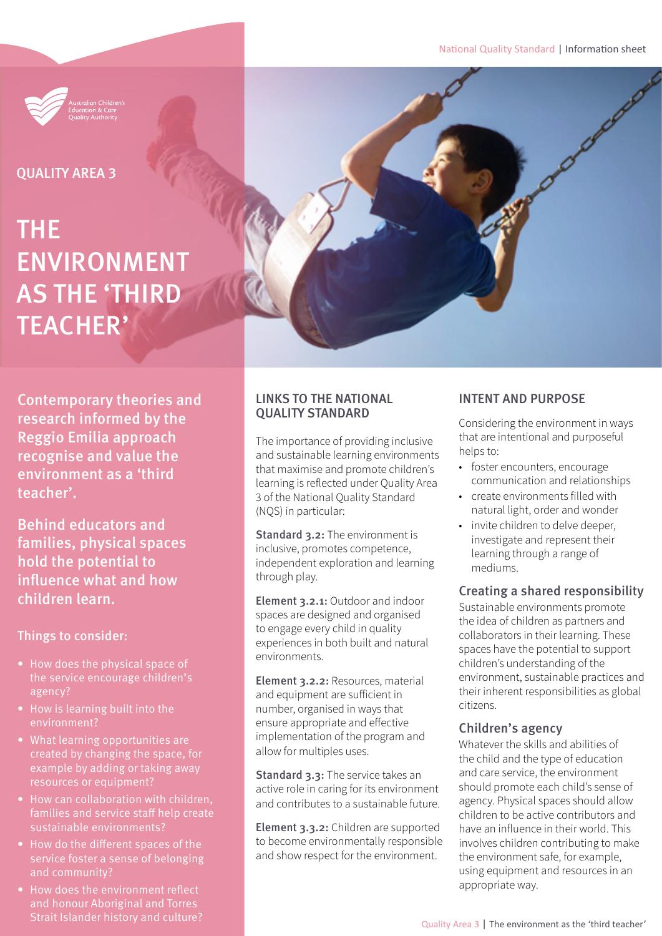National Quality Standard | Information sheet



QUALITY AREA 3

# THE ENVIRONMENT AS THE 'THIRD TEACHER'

Contemporary theories and research informed by the Reggio Emilia approach recognise and value the environment as a 'third teacher'.

Behind educators and families, physical spaces hold the potential to influence what and how children learn.

Things to consider:

- How does the physical space of the service encourage children's agency?
- How is learning built into the environment?
- What learning opportunities are created by changing the space, for example by adding or taking away
- families and service staff help create sustainable environments?
- How do the different spaces of the service foster a sense of belonging and community?
- How does the environment reflect and honour Aboriginal and Torres



The importance of providing inclusive and sustainable learning environments that maximise and promote children's learning is reflected under Quality Area 3 of the National Quality Standard (NQS) in particular:

Standard 3.2: The environment is inclusive, promotes competence, independent exploration and learning through play.

Element 3.2.1: Outdoor and indoor spaces are designed and organised to engage every child in quality experiences in both built and natural environments.

Element 3.2.2: Resources, material and equipment are sufficient in number, organised in ways that ensure appropriate and effective implementation of the program and allow for multiples uses.

Standard 3.3: The service takes an active role in caring for its environment and contributes to a sustainable future.

Element 3.3.2: Children are supported to become environmentally responsible and show respect for the environment.

# INTENT AND PURPOSE

Considering the environment in ways that are intentional and purposeful helps to:

- foster encounters, encourage communication and relationships
- create environments filled with natural light, order and wonder
- invite children to delve deeper, investigate and represent their learning through a range of mediums.

# Creating a shared responsibility

Sustainable environments promote the idea of children as partners and collaborators in their learning. These spaces have the potential to support children's understanding of the environment, sustainable practices and their inherent responsibilities as global citizens.

# Children's agency

Whatever the skills and abilities of the child and the type of education and care service, the environment should promote each child's sense of agency. Physical spaces should allow children to be active contributors and have an influence in their world. This involves children contributing to make the environment safe, for example, using equipment and resources in an appropriate way.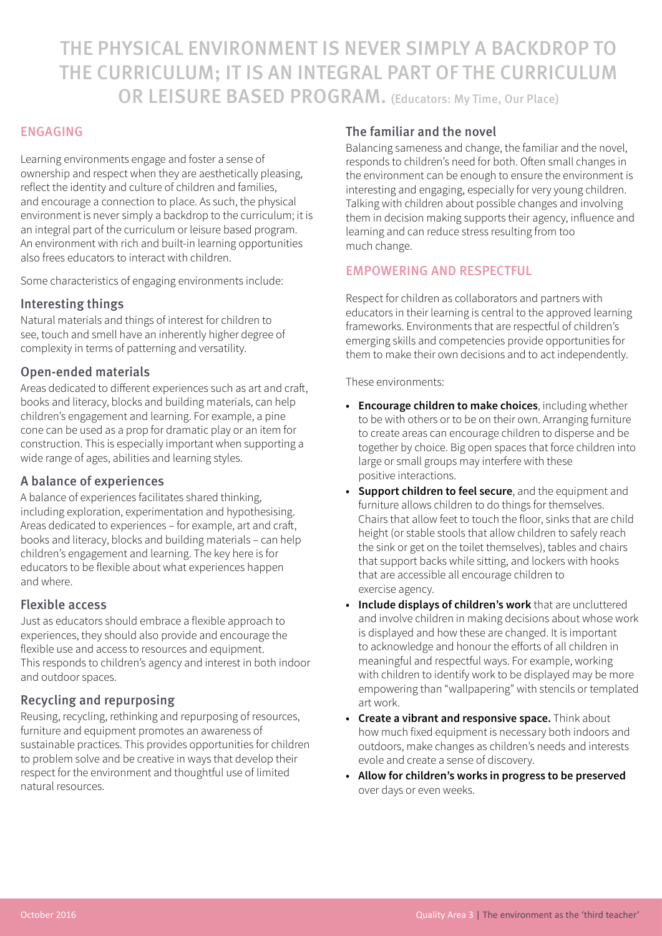THE PHYSICAL ENVIRONMENT IS NEVER SIMPLY A BACKDROP TO THE CURRICULUM; IT IS AN INTEGRAL PART OF THE CURRICULUM OR LEISURE BASED PROGRAM. (Educators: My Time, Our Place)

# ENGAGING

Learning environments engage and foster a sense of ownership and respect when they are aesthetically pleasing, reflect the identity and culture of children and families, and encourage a connection to place. As such, the physical environment is never simply a backdrop to the curriculum; it is an integral part of the curriculum or leisure based program. An environment with rich and built-in learning opportunities also frees educators to interact with children.

Some characteristics of engaging environments include:

#### Interesting things

Natural materials and things of interest for children to see, touch and smell have an inherently higher degree of complexity in terms of patterning and versatility.

#### Open-ended materials

Areas dedicated to different experiences such as art and craft, books and literacy, blocks and building materials, can help children's engagement and learning. For example, a pine cone can be used as a prop for dramatic play or an item for construction. This is especially important when supporting a wide range of ages, abilities and learning styles.

#### A balance of experiences

A balance of experiences facilitates shared thinking, including exploration, experimentation and hypothesising. Areas dedicated to experiences – for example, art and craft, books and literacy, blocks and building materials – can help children's engagement and learning. The key here is for educators to be flexible about what experiences happen and where.

#### Flexible access

Just as educators should embrace a flexible approach to experiences, they should also provide and encourage the flexible use and access to resources and equipment. This responds to children's agency and interest in both indoor and outdoor spaces.

#### Recycling and repurposing

Reusing, recycling, rethinking and repurposing of resources, furniture and equipment promotes an awareness of sustainable practices. This provides opportunities for children to problem solve and be creative in ways that develop their respect for the environment and thoughtful use of limited natural resources.

#### The familiar and the novel

Balancing sameness and change, the familiar and the novel, responds to children's need for both. Often small changes in the environment can be enough to ensure the environment is interesting and engaging, especially for very young children. Talking with children about possible changes and involving them in decision making supports their agency, influence and learning and can reduce stress resulting from too much change.

#### EMPOWERING AND RESPECTFUL

Respect for children as collaborators and partners with educators in their learning is central to the approved learning frameworks. Environments that are respectful of children's emerging skills and competencies provide opportunities for them to make their own decisions and to act independently.

These environments:

- **• Encourage children to make choices**, including whether to be with others or to be on their own. Arranging furniture to create areas can encourage children to disperse and be together by choice. Big open spaces that force children into large or small groups may interfere with these positive interactions.
- **• Support children to feel secure**, and the equipment and furniture allows children to do things for themselves. Chairs that allow feet to touch the floor, sinks that are child height (or stable stools that allow children to safely reach the sink or get on the toilet themselves), tables and chairs that support backs while sitting, and lockers with hooks that are accessible all encourage children to exercise agency.
- **• Include displays of children's work** that are uncluttered and involve children in making decisions about whose work is displayed and how these are changed. It is important to acknowledge and honour the efforts of all children in meaningful and respectful ways. For example, working with children to identify work to be displayed may be more empowering than "wallpapering" with stencils or templated art work.
- **• Create a vibrant and responsive space.** Think about how much fixed equipment is necessary both indoors and outdoors, make changes as children's needs and interests evole and create a sense of discovery.
- **• Allow for children's works in progress to be preserved** over days or even weeks.